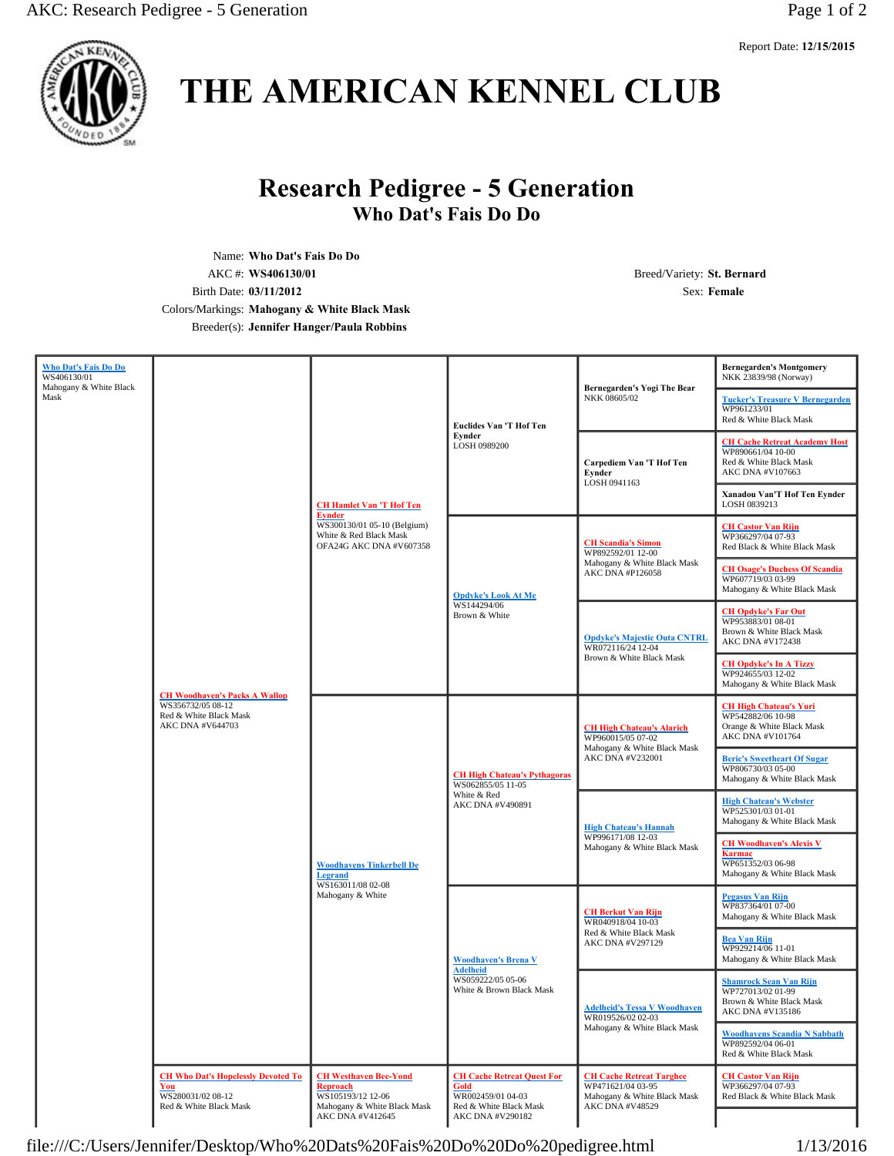

# **THE AMERICAN KENNEL CLUB**

# **Research Pedigree - 5 Generation Who Dat's Fais Do Do**

Name: **Who Dat's Fais Do Do** AKC #: **WS406130/01** Breed/Variety: **St. Bernard** Birth Date: **03/11/2012** Sex: **Female** Colors/Markings: **Mahogany & White Black Mask** Breeder(s): **Jennifer Hanger/Paula Robbins**

| Who Dat's Fais Do Do                          |                                                                                                         |                                                                                                                                      |                                                                                                              |                                                                                                          | <b>Bernegarden's Montgomery</b>                                                                          |
|-----------------------------------------------|---------------------------------------------------------------------------------------------------------|--------------------------------------------------------------------------------------------------------------------------------------|--------------------------------------------------------------------------------------------------------------|----------------------------------------------------------------------------------------------------------|----------------------------------------------------------------------------------------------------------|
| WS406130/01<br>Mahogany & White Black<br>Mask |                                                                                                         | <b>CH Hamlet Van 'T Hof Ten</b><br><b>Eynder</b><br>WS300130/01 05-10 (Belgium)<br>White & Red Black Mask<br>OFA24G AKC DNA #V607358 | <b>Euclides Van 'T Hof Ten</b><br>Evnder<br>LOSH 0989200                                                     | Bernegarden's Yogi The Bear<br>NKK 08605/02                                                              | NKK 23839/98 (Norway)<br><b>Tucker's Treasure V Bernegarden</b><br>WP961233/01<br>Red & White Black Mask |
|                                               |                                                                                                         |                                                                                                                                      |                                                                                                              | Carpediem Van 'T Hof Ten<br>Eynder<br>LOSH 0941163                                                       | <b>CH Cache Retreat Academy Host</b><br>WP890661/04 10-00<br>Red & White Black Mask<br>AKC DNA #V107663  |
|                                               |                                                                                                         |                                                                                                                                      |                                                                                                              |                                                                                                          | Xanadou Van'T Hof Ten Eynder<br>LOSH 0839213                                                             |
|                                               |                                                                                                         |                                                                                                                                      | <b>Opdyke's Look At Me</b><br>WS144294/06<br>Brown & White                                                   | <b>CH Scandia's Simon</b><br>WP892592/01 12-00<br>Mahogany & White Black Mask<br>AKC DNA #P126058        | <b>CH Castor Van Rijn</b><br>WP366297/04 07-93<br>Red Black & White Black Mask                           |
|                                               |                                                                                                         |                                                                                                                                      |                                                                                                              |                                                                                                          | <b>CH Osage's Duchess Of Scandia</b><br>WP607719/03 03-99<br>Mahogany & White Black Mask                 |
|                                               | <b>CH Woodhaven's Packs A Wallop</b><br>WS356732/05 08-12<br>Red & White Black Mask<br>AKC DNA #V644703 |                                                                                                                                      |                                                                                                              | <b>Opdyke's Majestic Outa CNTRL</b><br>WR072116/24 12-04<br>Brown & White Black Mask                     | <b>CH Opdyke's Far Out</b><br>WP953883/01 08-01<br>Brown & White Black Mask<br>AKC DNA #V172438          |
|                                               |                                                                                                         |                                                                                                                                      |                                                                                                              |                                                                                                          | <b>CH Opdyke's In A Tizzy</b><br>WP924655/03 12-02<br>Mahogany & White Black Mask                        |
|                                               |                                                                                                         | <b>Woodhavens Tinkerbell De</b><br><b>Legrand</b><br>WS163011/08 02-08<br>Mahogany & White                                           | <b>CH High Chateau's Pythagoras</b><br>WS062855/05 11-05<br>White & Red<br>AKC DNA #V490891                  | <b>CH High Chateau's Alarich</b><br>WP960015/05 07-02<br>Mahogany & White Black Mask<br>AKC DNA #V232001 | <b>CH High Chateau's Yuri</b><br>WP542882/06 10-98<br>Orange & White Black Mask<br>AKC DNA #V101764      |
|                                               |                                                                                                         |                                                                                                                                      |                                                                                                              |                                                                                                          | <b>Beric's Sweetheart Of Sugar</b><br>WP806730/03 05-00<br>Mahogany & White Black Mask                   |
|                                               |                                                                                                         |                                                                                                                                      |                                                                                                              | <b>High Chateau's Hannah</b><br>WP996171/08 12-03<br>Mahogany & White Black Mask                         | <b>High Chateau's Webster</b><br>WP525301/03 01-01<br>Mahogany & White Black Mask                        |
|                                               |                                                                                                         |                                                                                                                                      |                                                                                                              |                                                                                                          | <b>CH Woodhaven's Alexis V</b><br>Karmac<br>WP651352/03 06-98<br>Mahogany & White Black Mask             |
|                                               |                                                                                                         |                                                                                                                                      | <b>Woodhaven's Brena V</b><br><b>Adelheid</b><br>WS059222/05 05-06<br>White & Brown Black Mask               | <b>CH Berkut Van Rijn</b><br>WR040918/04 10-03<br>Red & White Black Mask<br>AKC DNA #V297129             | <b>Pegasus Van Rijn</b><br>WP837364/01 07-00<br>Mahogany & White Black Mask                              |
|                                               |                                                                                                         |                                                                                                                                      |                                                                                                              |                                                                                                          | <b>Bea Van Rijn</b><br>WP929214/06 11-01<br>Mahogany & White Black Mask                                  |
|                                               |                                                                                                         |                                                                                                                                      |                                                                                                              | <b>Adelheid's Tessa V Woodhaven</b><br>WR019526/02 02-03<br>Mahogany & White Black Mask                  | <b>Shamrock Sean Van Rijn</b><br>WP727013/02 01-99<br>Brown & White Black Mask<br>AKC DNA #V135186       |
|                                               |                                                                                                         |                                                                                                                                      |                                                                                                              |                                                                                                          | <b>Woodhavens Scandia N Sabbath</b><br>WP892592/04 06-01<br>Red & White Black Mask                       |
|                                               | <b>CH Who Dat's Hopelessly Devoted To</b><br>You<br>WS280031/02 08-12<br>Red & White Black Mask         | <b>CH Westhaven Bee-Yond</b><br>Reproach<br>WS105193/12 12-06<br>Mahogany & White Black Mask<br>AKC DNA #V412645                     | <b>CH Cache Retreat Quest For</b><br>Gold<br>WR002459/01 04-03<br>Red & White Black Mask<br>AKC DNA #V290182 | <b>CH Cache Retreat Targhee</b><br>WP471621/04 03-95<br>Mahogany & White Black Mask<br>AKC DNA #V48529   | <b>CH Castor Van Rijn</b><br>WP366297/04 07-93<br>Red Black & White Black Mask                           |

file:///C:/Users/Jennifer/Desktop/Who%20Dats%20Fais%20Do%20Do%20pedigree.html 1/13/2016